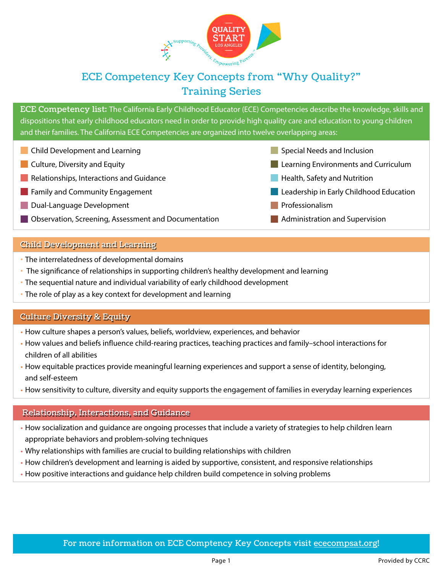

# ECE Competency Key Concepts from "Why Quality?" Training Series

ECE Competency list: The California Early Childhood Educator (ECE) Competencies describe the knowledge, skills and dispositions that early childhood educators need in order to provide high quality care and education to young children and their families. The California ECE Competencies are organized into twelve overlapping areas:

- **Child Development and Learning**
- **Culture, Diversity and Equity**
- **Relationships, Interactions and Guidance**
- **Family and Community Engagement**
- Dual-Language Development
- **Observation, Screening, Assessment and Documentation**

#### Child Development and Learning

- The interrelatedness of developmental domains
- The significance of relationships in supporting children's healthy development and learning
- The sequential nature and individual variability of early childhood development
- The role of play as a key context for development and learning

#### Culture Diversity & Equity

- How culture shapes a person's values, beliefs, worldview, experiences, and behavior
- How values and beliefs influence child-rearing practices, teaching practices and family–school interactions for children of all abilities
- How equitable practices provide meaningful learning experiences and support a sense of identity, belonging, and self-esteem
- How sensitivity to culture, diversity and equity supports the engagement of families in everyday learning experiences

#### Relationship, Interactions, and Guidance

- How socialization and guidance are ongoing processes that include a variety of strategies to help children learn appropriate behaviors and problem-solving techniques
- Why relationships with families are crucial to building relationships with children
- How children's development and learning is aided by supportive, consistent, and responsive relationships
- How positive interactions and guidance help children build competence in solving problems
- Special Needs and Inclusion
- **Learning Environments and Curriculum**
- **Health, Safety and Nutrition**
- **Leadership in Early Childhood Education**
- **Professionalism**
- **Administration and Supervision**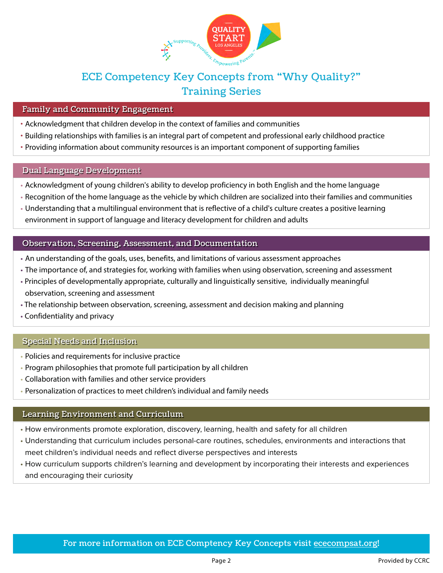

## ECE Competency Key Concepts from "Why Quality?" Training Series

### Family and Community Engagement

- Acknowledgment that children develop in the context of families and communities
- Building relationships with families is an integral part of competent and professional early childhood practice
- Providing information about community resources is an important component of supporting families

#### Dual Language Development

- Acknowledgment of young children's ability to develop proficiency in both English and the home language
- Recognition of the home language as the vehicle by which children are socialized into their families and communities
- Understanding that a multilingual environment that is reflective of a child's culture creates a positive learning environment in support of language and literacy development for children and adults

#### Observation, Screening, Assessment, and Documentation

- An understanding of the goals, uses, benefits, and limitations of various assessment approaches
- The importance of, and strategies for, working with families when using observation, screening and assessment
- Principles of developmentally appropriate, culturally and linguistically sensitive, individually meaningful observation, screening and assessment
- The relationship between observation, screening, assessment and decision making and planning
- Confidentiality and privacy

#### Special Needs and Inclusion

- Policies and requirements for inclusive practice
- Program philosophies that promote full participation by all children
- Collaboration with families and other service providers
- Personalization of practices to meet children's individual and family needs

## Learning Environment and Curriculum

- How environments promote exploration, discovery, learning, health and safety for all children
- Understanding that curriculum includes personal-care routines, schedules, environments and interactions that meet children's individual needs and reflect diverse perspectives and interests
- How curriculum supports children's learning and development by incorporating their interests and experiences and encouraging their curiosity